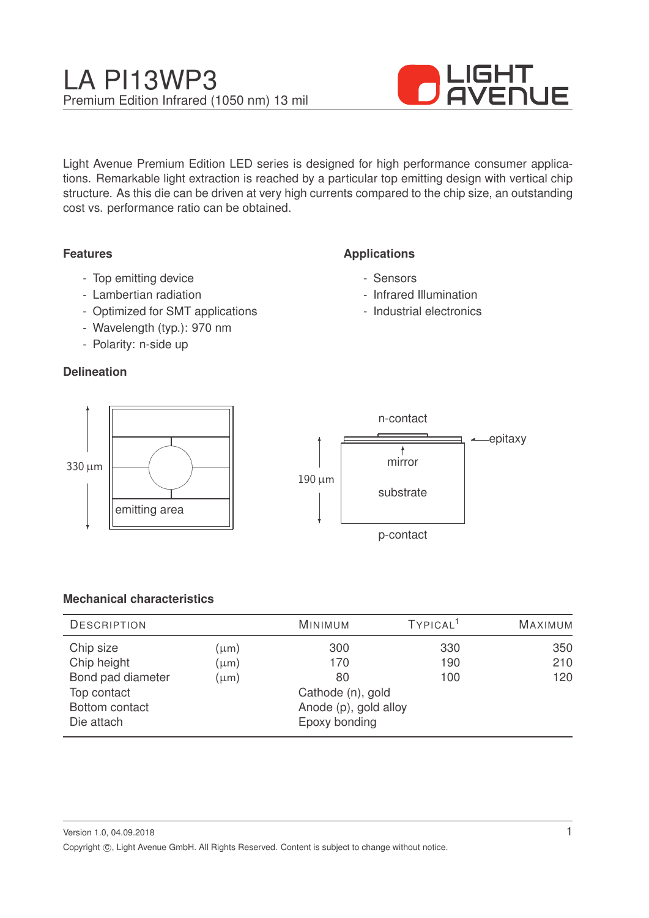# LA PI13WP3 Premium Edition Infrared (1050 nm) 13 mil



Light Avenue Premium Edition LED series is designed for high performance consumer applications. Remarkable light extraction is reached by a particular top emitting design with vertical chip structure. As this die can be driven at very high currents compared to the chip size, an outstanding cost vs. performance ratio can be obtained.

#### **Features**

- Top emitting device
- Lambertian radiation
- Optimized for SMT applications
- Wavelength (typ.): 970 nm
- Polarity: n-side up

#### **Delineation**

### **Applications**

- Sensors
- Infrared Illumination
- Industrial electronics



#### **Mechanical characteristics**

| <b>DESCRIPTION</b> |                       | <b>MINIMUM</b>    | TYPICAL <sup>1</sup> | <b>MAXIMUM</b> |
|--------------------|-----------------------|-------------------|----------------------|----------------|
| Chip size          | $(\mu m)$             | 300               | 330                  | 350            |
| Chip height        | $(\mu m)$             | 170               | 190                  | 210            |
| Bond pad diameter  | $(\mu m)$             | 80                | 100                  | 120            |
| Top contact        |                       | Cathode (n), gold |                      |                |
| Bottom contact     | Anode (p), gold alloy |                   |                      |                |
| Die attach         |                       | Epoxy bonding     |                      |                |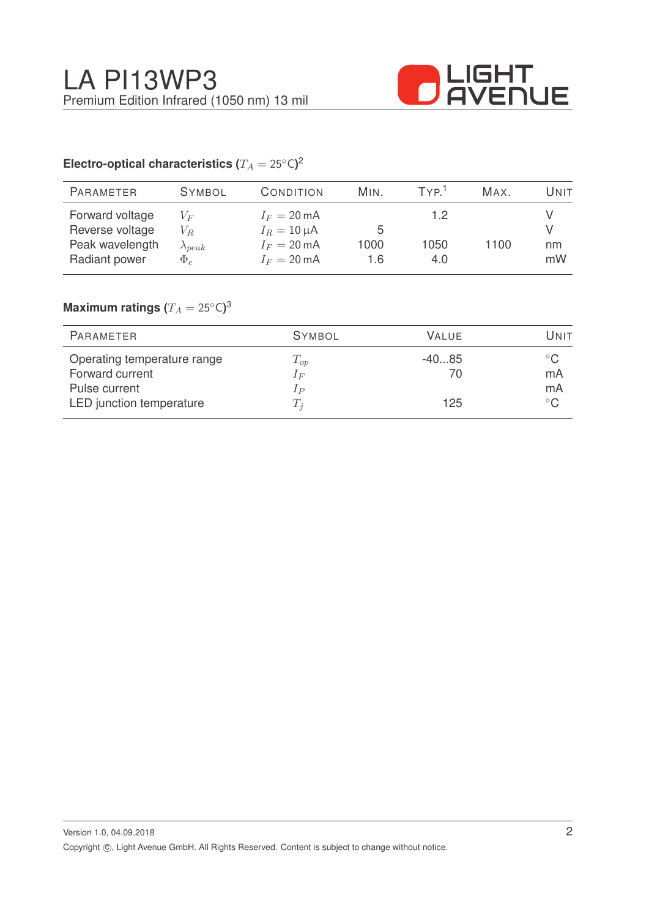

## Electro-optical characteristics ( $T_A = 25^{\circ} \text{C}$ )<sup>2</sup>

| <b>PARAMETER</b>                                                       | <b>SYMBOL</b>                                  | CONDITION                                                                           | MIN.             | TYP <sup>1</sup>   | Max. | Unit     |
|------------------------------------------------------------------------|------------------------------------------------|-------------------------------------------------------------------------------------|------------------|--------------------|------|----------|
| Forward voltage<br>Reverse voltage<br>Peak wavelength<br>Radiant power | $V_F$<br>$V_R$<br>$\lambda_{peak}$<br>$\Phi_e$ | $I_F = 20 \text{ mA}$<br>$I_R = 10 \mu A$<br>$I_F = 20 \text{ mA}$<br>$I_F = 20$ mA | 5<br>1000<br>1.6 | 1.2<br>1050<br>4.0 | 1100 | nm<br>mW |
|                                                                        |                                                |                                                                                     |                  |                    |      |          |

## $\mathsf{Maximum}$  ratings  $(T_A = 25^{\circ} \mathsf{C})^3$

| PARAMETER                   | <b>SYMBOL</b>  | <b>VALUE</b> | Unit          |
|-----------------------------|----------------|--------------|---------------|
| Operating temperature range | $T_{op}$       | $-4085$      | $^{\circ}$ C. |
| Forward current             | $1_F$          | 70           | mA            |
| Pulse current               | 1 <sub>P</sub> |              | mA            |
| LED junction temperature    | $T_i$          | 125          | $^{\circ}$ C  |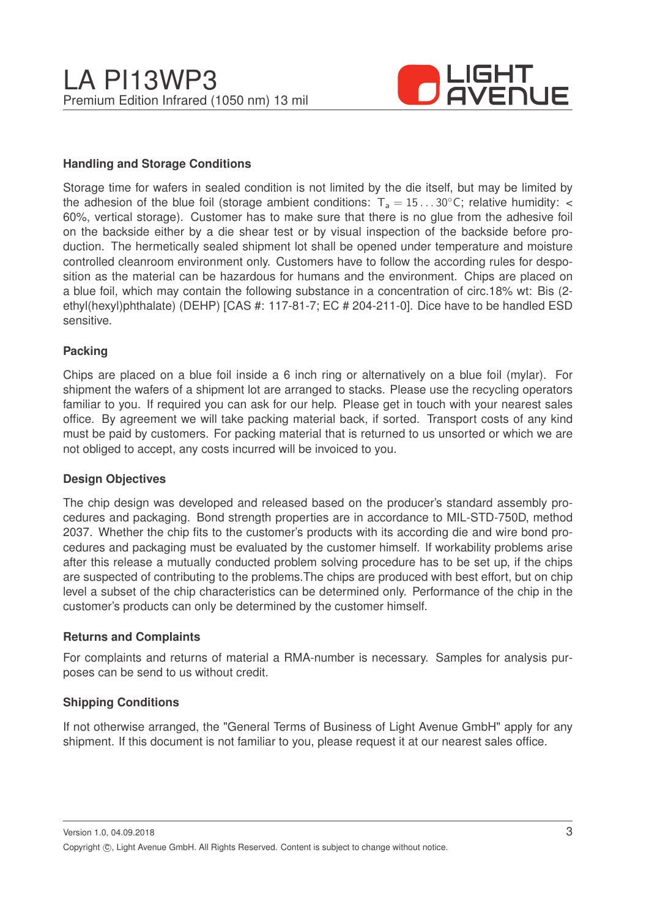

#### **Handling and Storage Conditions**

Storage time for wafers in sealed condition is not limited by the die itself, but may be limited by the adhesion of the blue foil (storage ambient conditions:  $T_a = 15...30^{\circ}$ C; relative humidity: < 60%, vertical storage). Customer has to make sure that there is no glue from the adhesive foil on the backside either by a die shear test or by visual inspection of the backside before production. The hermetically sealed shipment lot shall be opened under temperature and moisture controlled cleanroom environment only. Customers have to follow the according rules for desposition as the material can be hazardous for humans and the environment. Chips are placed on a blue foil, which may contain the following substance in a concentration of circ.18% wt: Bis (2 ethyl(hexyl)phthalate) (DEHP) [CAS #: 117-81-7; EC # 204-211-0]. Dice have to be handled ESD sensitive.

#### **Packing**

Chips are placed on a blue foil inside a 6 inch ring or alternatively on a blue foil (mylar). For shipment the wafers of a shipment lot are arranged to stacks. Please use the recycling operators familiar to you. If required you can ask for our help. Please get in touch with your nearest sales office. By agreement we will take packing material back, if sorted. Transport costs of any kind must be paid by customers. For packing material that is returned to us unsorted or which we are not obliged to accept, any costs incurred will be invoiced to you.

#### **Design Objectives**

The chip design was developed and released based on the producer's standard assembly procedures and packaging. Bond strength properties are in accordance to MIL-STD-750D, method 2037. Whether the chip fits to the customer's products with its according die and wire bond procedures and packaging must be evaluated by the customer himself. If workability problems arise after this release a mutually conducted problem solving procedure has to be set up, if the chips are suspected of contributing to the problems.The chips are produced with best effort, but on chip level a subset of the chip characteristics can be determined only. Performance of the chip in the customer's products can only be determined by the customer himself.

#### **Returns and Complaints**

For complaints and returns of material a RMA-number is necessary. Samples for analysis purposes can be send to us without credit.

#### **Shipping Conditions**

If not otherwise arranged, the "General Terms of Business of Light Avenue GmbH" apply for any shipment. If this document is not familiar to you, please request it at our nearest sales office.

Version 1.0, 04.09.2018 Copyright ©, Light Avenue GmbH. All Rights Reserved. Content is subject to change without notice.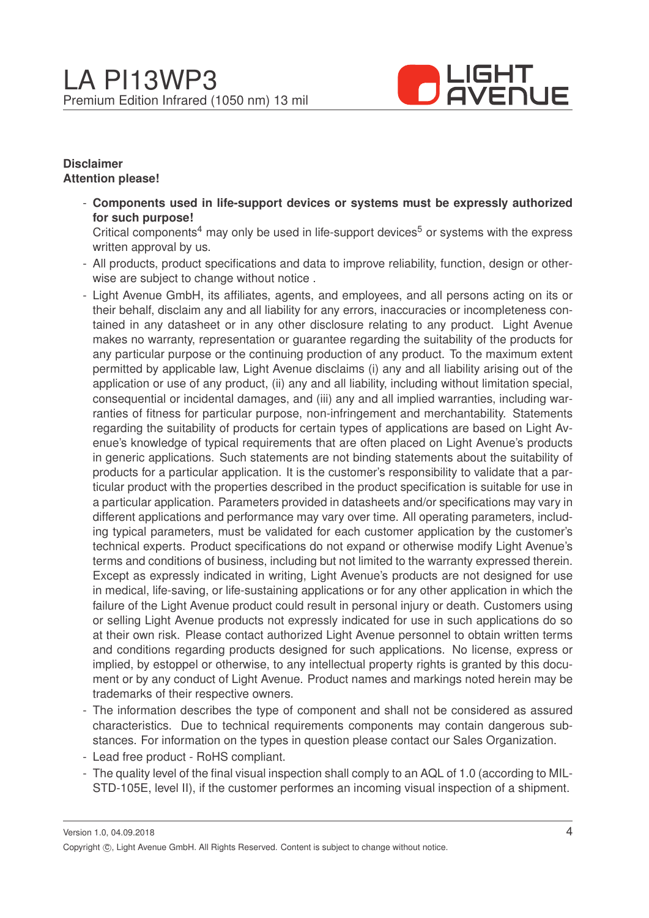

#### **Disclaimer Attention please!**

- **Components used in life-support devices or systems must be expressly authorized for such purpose!**

Critical components<sup>4</sup> may only be used in life-support devices<sup>5</sup> or systems with the express written approval by us.

- All products, product specifications and data to improve reliability, function, design or otherwise are subject to change without notice .
- Light Avenue GmbH, its affiliates, agents, and employees, and all persons acting on its or their behalf, disclaim any and all liability for any errors, inaccuracies or incompleteness contained in any datasheet or in any other disclosure relating to any product. Light Avenue makes no warranty, representation or guarantee regarding the suitability of the products for any particular purpose or the continuing production of any product. To the maximum extent permitted by applicable law, Light Avenue disclaims (i) any and all liability arising out of the application or use of any product, (ii) any and all liability, including without limitation special, consequential or incidental damages, and (iii) any and all implied warranties, including warranties of fitness for particular purpose, non-infringement and merchantability. Statements regarding the suitability of products for certain types of applications are based on Light Avenue's knowledge of typical requirements that are often placed on Light Avenue's products in generic applications. Such statements are not binding statements about the suitability of products for a particular application. It is the customer's responsibility to validate that a particular product with the properties described in the product specification is suitable for use in a particular application. Parameters provided in datasheets and/or specifications may vary in different applications and performance may vary over time. All operating parameters, including typical parameters, must be validated for each customer application by the customer's technical experts. Product specifications do not expand or otherwise modify Light Avenue's terms and conditions of business, including but not limited to the warranty expressed therein. Except as expressly indicated in writing, Light Avenue's products are not designed for use in medical, life-saving, or life-sustaining applications or for any other application in which the failure of the Light Avenue product could result in personal injury or death. Customers using or selling Light Avenue products not expressly indicated for use in such applications do so at their own risk. Please contact authorized Light Avenue personnel to obtain written terms and conditions regarding products designed for such applications. No license, express or implied, by estoppel or otherwise, to any intellectual property rights is granted by this document or by any conduct of Light Avenue. Product names and markings noted herein may be trademarks of their respective owners.
- The information describes the type of component and shall not be considered as assured characteristics. Due to technical requirements components may contain dangerous substances. For information on the types in question please contact our Sales Organization.
- Lead free product RoHS compliant.
- The quality level of the final visual inspection shall comply to an AQL of 1.0 (according to MIL-STD-105E, level II), if the customer performes an incoming visual inspection of a shipment.